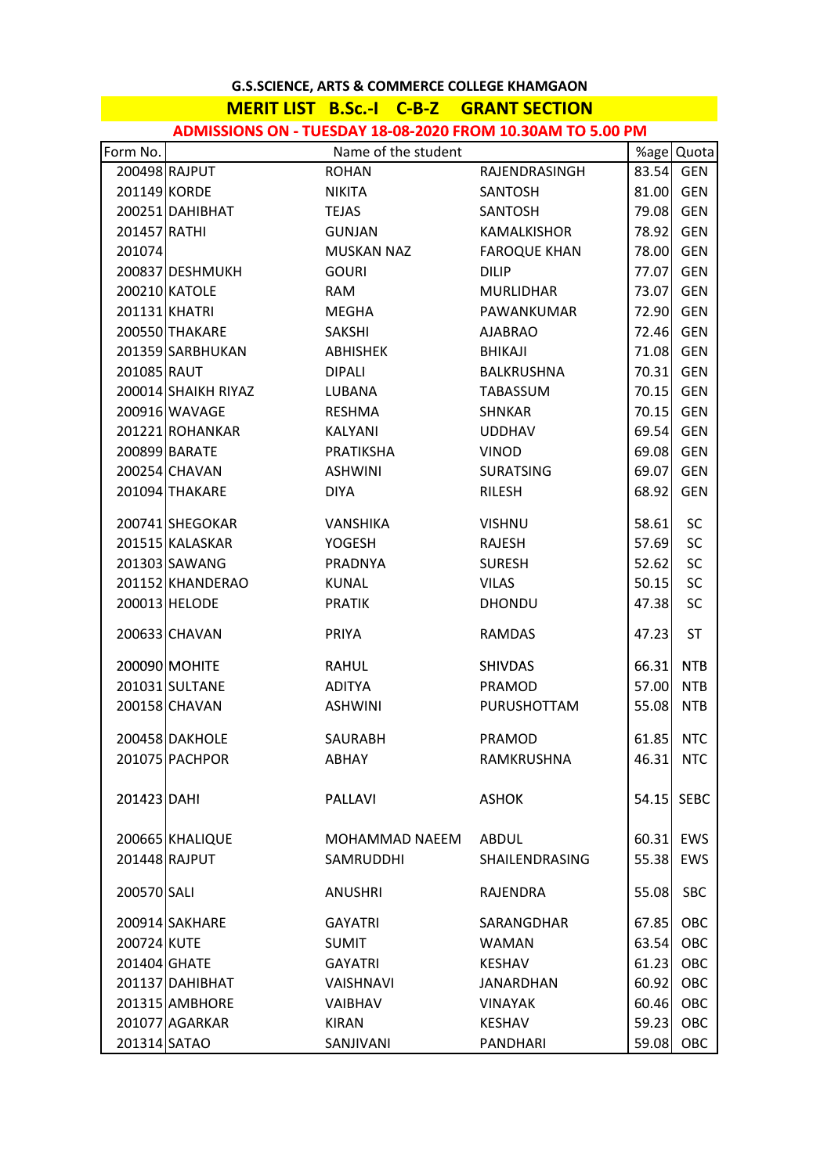# **MERIT LIST B.Sc.-I C-B-Z GRANT SECTION**

| Form No.     |                     |                      | %age Quota          |            |            |
|--------------|---------------------|----------------------|---------------------|------------|------------|
|              | 200498 RAJPUT       | <b>ROHAN</b>         | RAJENDRASINGH       | 83.54      | GEN        |
| 201149 KORDE |                     | NIKITA               | SANTOSH             | 81.00      | <b>GEN</b> |
|              | 200251 DAHIBHAT     | <b>TEJAS</b>         | SANTOSH             | 79.08      | <b>GEN</b> |
| 201457 RATHI |                     | <b>GUNJAN</b>        | KAMALKISHOR         | 78.92      | <b>GEN</b> |
| 201074       |                     | <b>MUSKAN NAZ</b>    | <b>FAROQUE KHAN</b> | 78.00      | <b>GEN</b> |
|              | 200837 DESHMUKH     | <b>GOURI</b>         | <b>DILIP</b>        | 77.07      | <b>GEN</b> |
|              | 200210 KATOLE       | RAM                  | <b>MURLIDHAR</b>    | 73.07      | <b>GEN</b> |
|              | 201131 KHATRI       | MEGHA                | PAWANKUMAR          | 72.90      | <b>GEN</b> |
|              | 200550 THAKARE      | SAKSHI               | <b>AJABRAO</b>      | 72.46      | <b>GEN</b> |
|              | 201359 SARBHUKAN    | ABHISHEK             | BHIKAJI             | 71.08      | <b>GEN</b> |
| 201085 RAUT  |                     | <b>DIPALI</b>        | BALKRUSHNA          | 70.31      | <b>GEN</b> |
|              | 200014 SHAIKH RIYAZ | LUBANA               | TABASSUM            | 70.15      | <b>GEN</b> |
|              | 200916 WAVAGE       | <b>RESHMA</b>        | SHNKAR              | 70.15      | <b>GEN</b> |
|              | 201221 ROHANKAR     | KALYANI              | <b>UDDHAV</b>       | 69.54      | <b>GEN</b> |
|              | 200899 BARATE       | PRATIKSHA            | <b>VINOD</b>        | 69.08      | <b>GEN</b> |
|              | 200254 CHAVAN       | <b>ASHWINI</b>       | <b>SURATSING</b>    | 69.07      | <b>GEN</b> |
|              | 201094 THAKARE      | <b>DIYA</b>          | <b>RILESH</b>       | 68.92      | <b>GEN</b> |
|              | 200741 SHEGOKAR     | VANSHIKA             | <b>VISHNU</b>       | 58.61      | <b>SC</b>  |
|              | 201515 KALASKAR     | YOGESH               | RAJESH              | 57.69      | SC         |
|              | 201303 SAWANG       | PRADNYA              | <b>SURESH</b>       | 52.62      | SC         |
|              | 201152 KHANDERAO    | KUNAL                | <b>VILAS</b>        | 50.15      | SC         |
|              | 200013 HELODE       | <b>PRATIK</b>        | <b>DHONDU</b>       | 47.38      | SC         |
|              | 200633 CHAVAN       | PRIYA                | <b>RAMDAS</b>       | 47.23      | <b>ST</b>  |
|              | 200090 MOHITE       | <b>RAHUL</b>         | <b>SHIVDAS</b>      | 66.31      | <b>NTB</b> |
|              | 201031 SULTANE      | ADITYA               | <b>PRAMOD</b>       | 57.00      | <b>NTB</b> |
|              | 200158 CHAVAN       | <b>ASHWINI</b>       | PURUSHOTTAM         | 55.08      | <b>NTB</b> |
|              | 200458 DAKHOLE      | SAURABH              | PRAMOD              | 61.85      | <b>NTC</b> |
|              | 201075 PACHPOR      | ABHAY                | RAMKRUSHNA          | 46.31      | <b>NTC</b> |
|              |                     |                      |                     |            |            |
| 201423 DAHI  |                     | <b>PALLAVI</b>       | <b>ASHOK</b>        | 54.15 SEBC |            |
|              | 200665 KHALIQUE     | MOHAMMAD NAEEM ABDUL |                     | 60.31      | EWS        |
|              | 201448 RAJPUT       | <b>SAMRUDDHI</b>     | SHAILENDRASING      | 55.38      | <b>EWS</b> |
| 200570 SALI  |                     | <b>ANUSHRI</b>       | RAJENDRA            | 55.08      | <b>SBC</b> |
|              | 200914 SAKHARE      | GAYATRI              | SARANGDHAR          | 67.85      | OBC        |
| 200724 KUTE  |                     | <b>SUMIT</b>         | <b>WAMAN</b>        | 63.54      | OBC        |
| 201404 GHATE |                     | <b>GAYATRI</b>       | KESHAV              | 61.23      | OBC        |
|              | 201137 DAHIBHAT     | VAISHNAVI            | JANARDHAN           | 60.92      | OBC        |
|              | 201315 AMBHORE      | <b>VAIBHAV</b>       | <b>VINAYAK</b>      | 60.46      | OBC        |
|              | 201077 AGARKAR      | KIRAN                | <b>KESHAV</b>       | 59.23      | OBC        |
| 201314 SATAO |                     | SANJIVANI            | <b>PANDHARI</b>     | 59.08      | OBC        |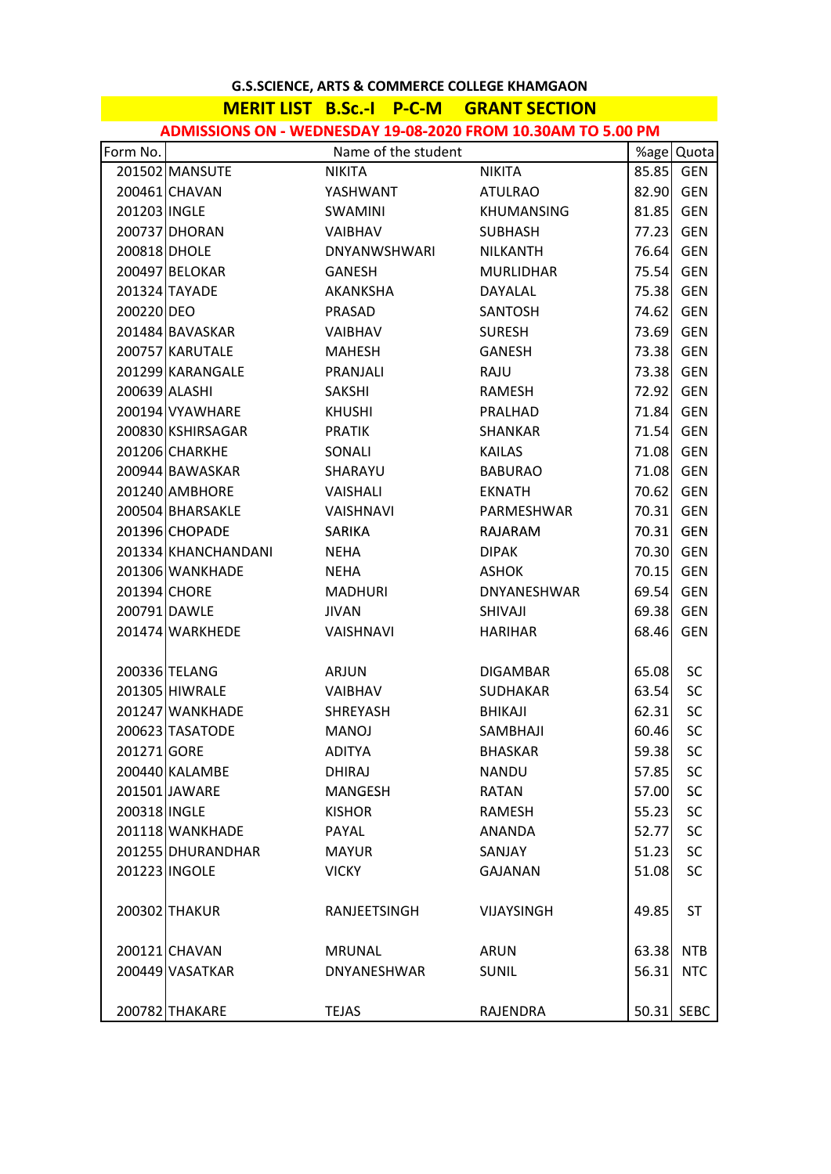# **MERIT LIST B.Sc.‐I P‐C‐M GRANT SECTION**

**ADMISSIONS ON ‐ WEDNESDAY 19‐08‐2020 FROM 10 30AM TO 5 00 PM ADMISSIONS ON ‐ WEDNESDAY 19‐08‐2020 FROM 10.30AM TO 5.00**

| Form No.      |                     | Name of the student |                   |       | %age Quota  |
|---------------|---------------------|---------------------|-------------------|-------|-------------|
|               | 201502 MANSUTE      | NIKITA              | NIKITA            | 85.85 | GEN         |
|               | 200461 CHAVAN       | YASHWANT            | <b>ATULRAO</b>    | 82.90 | <b>GEN</b>  |
| 201203 INGLE  |                     | SWAMINI             | <b>KHUMANSING</b> | 81.85 | <b>GEN</b>  |
|               | 200737 DHORAN       | VAIBHAV             | <b>SUBHASH</b>    | 77.23 | <b>GEN</b>  |
| 200818 DHOLE  |                     | DNYANWSHWARI        | NILKANTH          | 76.64 | <b>GEN</b>  |
|               | 200497 BELOKAR      | GANESH              | <b>MURLIDHAR</b>  | 75.54 | <b>GEN</b>  |
|               | 201324 TAYADE       | AKANKSHA            | DAYALAL           | 75.38 | <b>GEN</b>  |
| 200220 DEO    |                     | <b>PRASAD</b>       | SANTOSH           | 74.62 | <b>GEN</b>  |
|               | 201484 BAVASKAR     | VAIBHAV             | <b>SURESH</b>     | 73.69 | <b>GEN</b>  |
|               | 200757 KARUTALE     | MAHESH              | GANESH            | 73.38 | <b>GEN</b>  |
|               | 201299 KARANGALE    | PRANJALI            | RAJU              | 73.38 | <b>GEN</b>  |
| 200639 ALASHI |                     | <b>SAKSHI</b>       | RAMESH            | 72.92 | <b>GEN</b>  |
|               | 200194 VYAWHARE     | <b>KHUSHI</b>       | PRALHAD           | 71.84 | <b>GEN</b>  |
|               | 200830 KSHIRSAGAR   | <b>PRATIK</b>       | SHANKAR           | 71.54 | <b>GEN</b>  |
|               | 201206 CHARKHE      | SONALI              | <b>KAILAS</b>     | 71.08 | <b>GEN</b>  |
|               | 200944 BAWASKAR     | SHARAYU             | <b>BABURAO</b>    | 71.08 | <b>GEN</b>  |
|               | 201240 AMBHORE      | VAISHALI            | EKNATH            | 70.62 | <b>GEN</b>  |
|               | 200504 BHARSAKLE    | VAISHNAVI           | PARMESHWAR        | 70.31 | <b>GEN</b>  |
|               | 201396 CHOPADE      | SARIKA              | RAJARAM           | 70.31 | <b>GEN</b>  |
|               | 201334 KHANCHANDANI | NEHA                | <b>DIPAK</b>      | 70.30 | <b>GEN</b>  |
|               | 201306 WANKHADE     | NEHA                | ASHOK             | 70.15 | <b>GEN</b>  |
| 201394 CHORE  |                     | MADHURI             | DNYANESHWAR       | 69.54 | <b>GEN</b>  |
| 200791 DAWLE  |                     | <b>JIVAN</b>        | SHIVAJI           | 69.38 | <b>GEN</b>  |
|               | 201474 WARKHEDE     | VAISHNAVI           | HARIHAR           | 68.46 | <b>GEN</b>  |
|               |                     |                     |                   |       |             |
|               | 200336 TELANG       | ARJUN               | <b>DIGAMBAR</b>   | 65.08 | <b>SC</b>   |
|               | 201305 HIWRALE      | VAIBHAV             | <b>SUDHAKAR</b>   | 63.54 | <b>SC</b>   |
|               | 201247 WANKHADE     | SHREYASH            | BHIKAJI           | 62.31 | <b>SC</b>   |
|               | 200623 TASATODE     | <b>MANOJ</b>        | SAMBHAJI          | 60.46 | <b>SC</b>   |
| 201271 GORE   |                     | <b>ADITYA</b>       | <b>BHASKAR</b>    | 59.38 | SC          |
|               | 200440 KALAMBE      | <b>DHIRAJ</b>       | <b>NANDU</b>      | 57.85 | SC          |
|               | 201501 JAWARE       | MANGESH             | RATAN             | 57.00 | <b>SC</b>   |
| 200318 INGLE  |                     | <b>KISHOR</b>       | RAMESH            | 55.23 | SC          |
|               | 201118 WANKHADE     | PAYAL               | ANANDA            | 52.77 | <b>SC</b>   |
|               | 201255 DHURANDHAR   | <b>MAYUR</b>        | SANJAY            | 51.23 | SC          |
|               | 201223 INGOLE       | <b>VICKY</b>        | GAJANAN           | 51.08 | <b>SC</b>   |
|               |                     |                     |                   |       |             |
|               | 200302 THAKUR       | RANJEETSINGH        | <b>VIJAYSINGH</b> | 49.85 | <b>ST</b>   |
|               |                     |                     |                   |       |             |
|               | 200121 CHAVAN       | MRUNAL              | ARUN              | 63.38 | <b>NTB</b>  |
|               | 200449 VASATKAR     | <b>DNYANESHWAR</b>  | <b>SUNIL</b>      | 56.31 | <b>NTC</b>  |
|               |                     |                     |                   |       |             |
|               | 200782 THAKARE      | <b>TEJAS</b>        | RAJENDRA          | 50.31 | <b>SEBC</b> |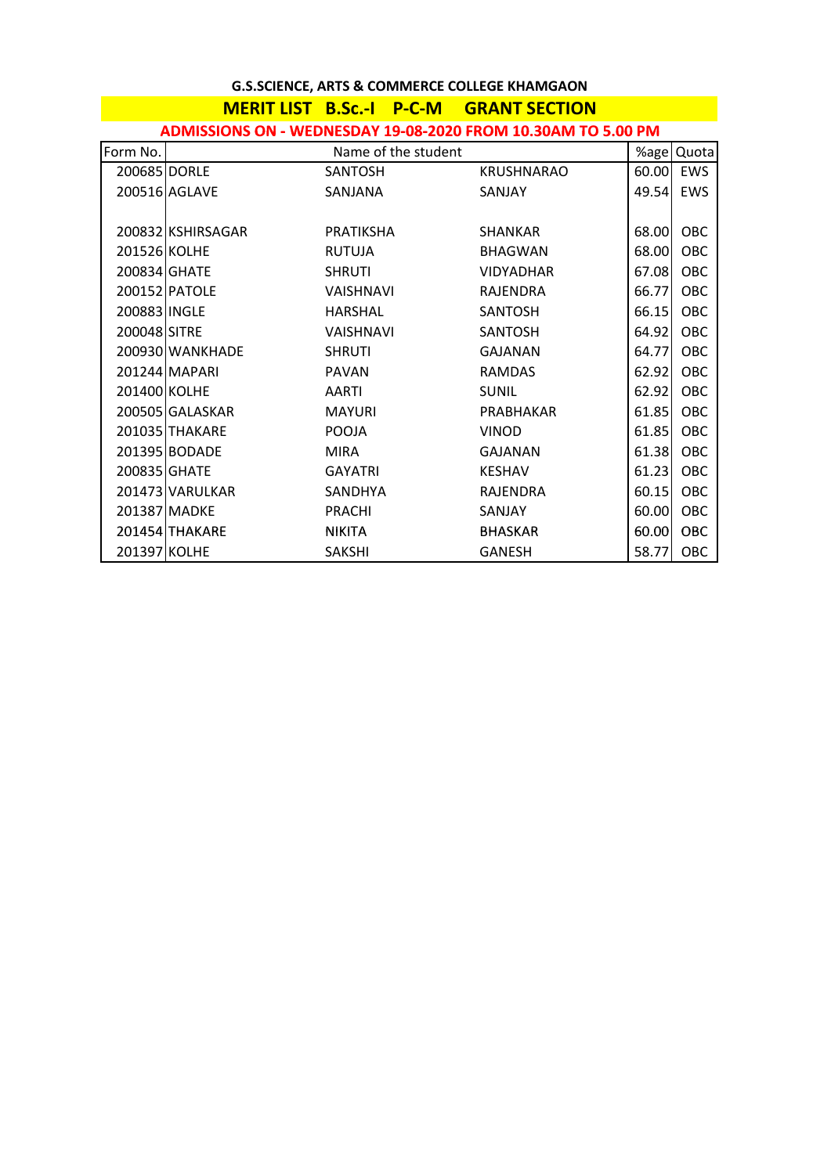|                                                              |                   | MERIT LIST B.Sc.-I P-C-M | <b>GRANT SECTION</b> |       |            |  |  |
|--------------------------------------------------------------|-------------------|--------------------------|----------------------|-------|------------|--|--|
| ADMISSIONS ON - WEDNESDAY 19-08-2020 FROM 10.30AM TO 5.00 PM |                   |                          |                      |       |            |  |  |
| Form No.                                                     |                   | Name of the student      |                      | %age  | Quota      |  |  |
| 200685 DORLE                                                 |                   | <b>SANTOSH</b>           | <b>KRUSHNARAO</b>    | 60.00 | <b>EWS</b> |  |  |
|                                                              | 200516 AGLAVE     | SANJANA                  | SANJAY               | 49.54 | EWS        |  |  |
|                                                              |                   |                          |                      |       |            |  |  |
|                                                              | 200832 KSHIRSAGAR | PRATIKSHA                | <b>SHANKAR</b>       | 68.00 | OBC        |  |  |
| 201526 KOLHE                                                 |                   | <b>RUTUJA</b>            | <b>BHAGWAN</b>       | 68.00 | OBC        |  |  |
| 200834 GHATE                                                 |                   | <b>SHRUTI</b>            | <b>VIDYADHAR</b>     | 67.08 | OBC        |  |  |
|                                                              | 200152 PATOLE     | <b>VAISHNAVI</b>         | RAJENDRA             | 66.77 | OBC        |  |  |
| 200883 INGLE                                                 |                   | <b>HARSHAL</b>           | <b>SANTOSH</b>       | 66.15 | OBC        |  |  |
| 200048 SITRE                                                 |                   | VAISHNAVI                | <b>SANTOSH</b>       | 64.92 | OBC        |  |  |
|                                                              | 200930 WANKHADE   | <b>SHRUTI</b>            | <b>GAJANAN</b>       | 64.77 | OBC        |  |  |
|                                                              | 201244 MAPARI     | <b>PAVAN</b>             | <b>RAMDAS</b>        | 62.92 | OBC        |  |  |
| 201400 KOLHE                                                 |                   | AARTI                    | <b>SUNIL</b>         | 62.92 | OBC        |  |  |
|                                                              | 200505 GALASKAR   | <b>MAYURI</b>            | PRABHAKAR            | 61.85 | OBC        |  |  |
|                                                              | 201035 THAKARE    | <b>POOJA</b>             | <b>VINOD</b>         | 61.85 | OBC        |  |  |
|                                                              | 201395 BODADE     | <b>MIRA</b>              | GAJANAN              | 61.38 | OBC        |  |  |
| 200835 GHATE                                                 |                   | <b>GAYATRI</b>           | <b>KESHAV</b>        | 61.23 | OBC        |  |  |
|                                                              | 201473 VARULKAR   | SANDHYA                  | <b>RAJENDRA</b>      | 60.15 | OBC        |  |  |
|                                                              | 201387 MADKE      | <b>PRACHI</b>            | SANJAY               | 60.00 | OBC        |  |  |
|                                                              | 201454 THAKARE    | <b>NIKITA</b>            | <b>BHASKAR</b>       | 60.00 | OBC        |  |  |
| 201397 KOLHE                                                 |                   | <b>SAKSHI</b>            | <b>GANESH</b>        | 58.77 | OBC        |  |  |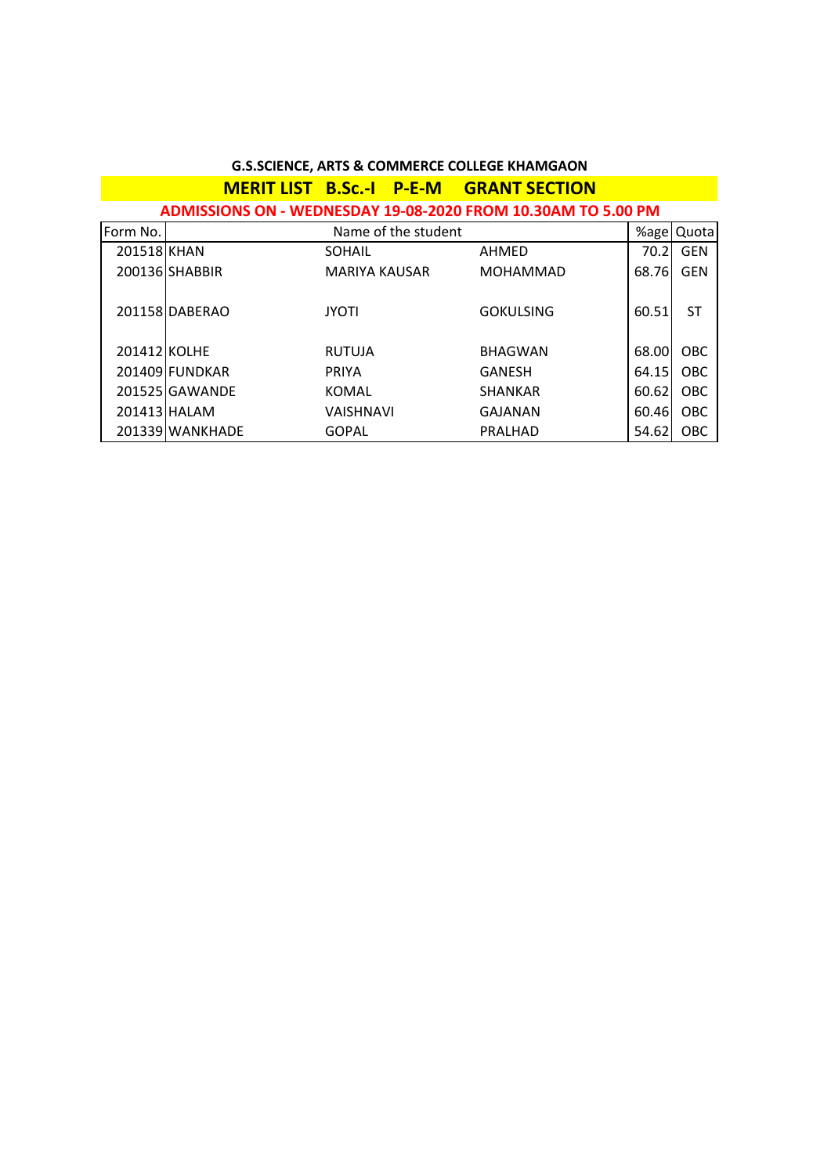| 0.3.3CIENCE, ANTS & CONTINIENCE COLLEGE NHAINIGAON |                                                              |                  |                     |                                               |       |            |  |  |
|----------------------------------------------------|--------------------------------------------------------------|------------------|---------------------|-----------------------------------------------|-------|------------|--|--|
|                                                    |                                                              |                  |                     | <b>MERIT LIST B.Sc.-I P-E-M GRANT SECTION</b> |       |            |  |  |
|                                                    | ADMISSIONS ON - WEDNESDAY 19-08-2020 FROM 10.30AM TO 5.00 PM |                  |                     |                                               |       |            |  |  |
| Form No.                                           |                                                              |                  | Name of the student |                                               | %age  | Quota      |  |  |
| 201518 KHAN                                        |                                                              | <b>SOHAIL</b>    |                     | AHMED                                         | 70.2  | <b>GEN</b> |  |  |
|                                                    | 200136 SHABBIR                                               | MARIYA KAUSAR    |                     | <b>MOHAMMAD</b>                               | 68.76 | <b>GEN</b> |  |  |
|                                                    | 201158 DABERAO                                               | <b>JYOTI</b>     |                     | <b>GOKULSING</b>                              | 60.51 | <b>ST</b>  |  |  |
| 201412 KOLHE                                       |                                                              | <b>RUTUJA</b>    |                     | <b>BHAGWAN</b>                                | 68.00 | <b>OBC</b> |  |  |
|                                                    | 201409 FUNDKAR                                               | <b>PRIYA</b>     |                     | GANESH                                        | 64.15 | OBC        |  |  |
|                                                    | 201525 GAWANDE                                               | KOMAL            |                     | <b>SHANKAR</b>                                | 60.62 | <b>OBC</b> |  |  |
|                                                    | 201413 HALAM                                                 | <b>VAISHNAVI</b> |                     | <b>GAJANAN</b>                                | 60.46 | <b>OBC</b> |  |  |
|                                                    | 201339 WANKHADE                                              | <b>GOPAL</b>     |                     | PRALHAD                                       | 54.62 | <b>OBC</b> |  |  |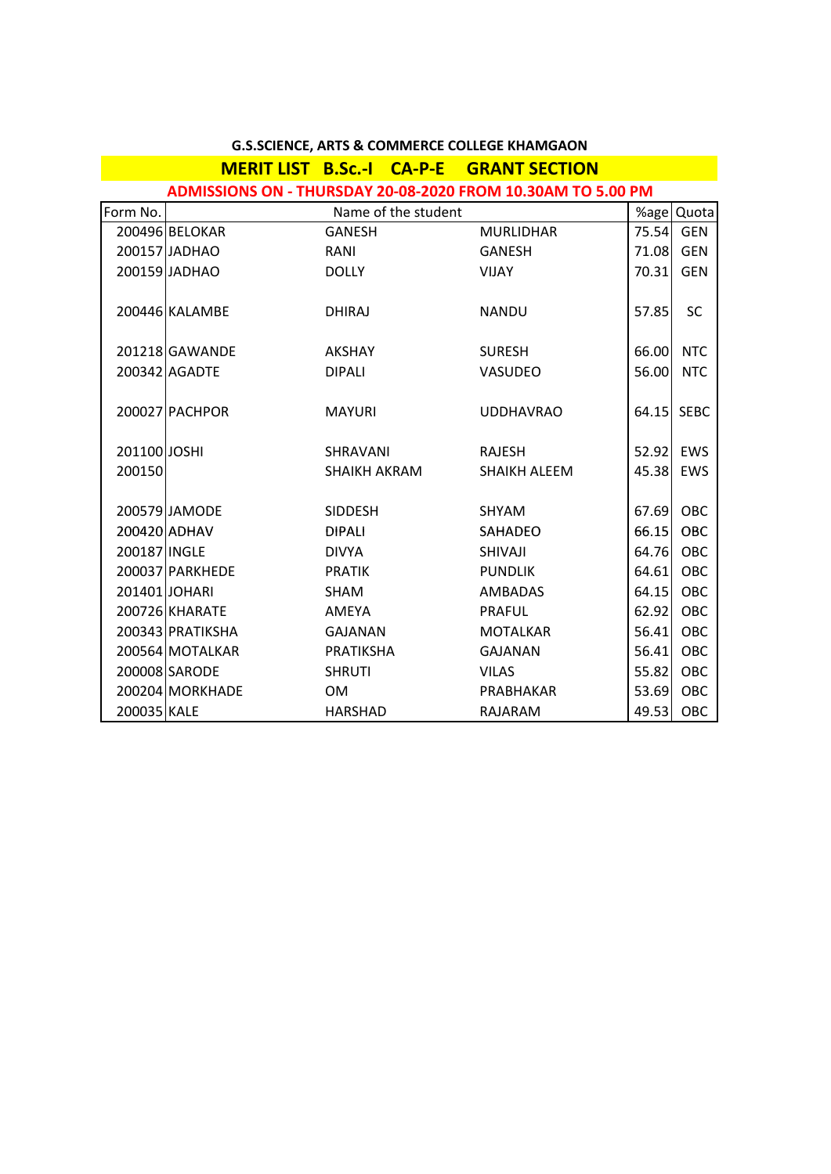|              |                  | <b>MERIT LIST B.Sc.-I CA-P-E GRANT SECTION</b> |                                                             |           |            |
|--------------|------------------|------------------------------------------------|-------------------------------------------------------------|-----------|------------|
|              |                  |                                                | ADMISSIONS ON - THURSDAY 20-08-2020 FROM 10.30AM TO 5.00 PM |           |            |
| Form No.     |                  | Name of the student                            |                                                             |           | %age Quota |
|              | 200496 BELOKAR   | <b>GANESH</b>                                  | <b>MURLIDHAR</b>                                            |           | 75.54 GEN  |
|              | 200157 JADHAO    | RANI                                           | <b>GANESH</b>                                               |           | 71.08 GEN  |
|              | 200159 JADHAO    | <b>DOLLY</b>                                   | <b>VIJAY</b>                                                | 70.31     | <b>GEN</b> |
|              |                  |                                                |                                                             |           |            |
|              | 200446 KALAMBE   | <b>DHIRAJ</b>                                  | <b>NANDU</b>                                                | 57.85     | <b>SC</b>  |
|              |                  |                                                |                                                             |           |            |
|              | 201218 GAWANDE   | AKSHAY                                         | <b>SURESH</b>                                               | 66.00     | <b>NTC</b> |
|              | 200342 AGADTE    | <b>DIPALI</b>                                  | VASUDEO                                                     | 56.00     | <b>NTC</b> |
|              |                  |                                                |                                                             |           |            |
|              | 200027 PACHPOR   | <b>MAYURI</b>                                  | <b>UDDHAVRAO</b>                                            |           | 64.15 SEBC |
|              |                  |                                                |                                                             |           |            |
| 201100 JOSHI |                  | SHRAVANI                                       | RAJESH                                                      |           | 52.92 EWS  |
| 200150       |                  | SHAIKH AKRAM                                   | SHAIKH ALEEM                                                | 45.38     | EWS        |
|              |                  |                                                |                                                             |           |            |
|              | 200579 JAMODE    | <b>SIDDESH</b>                                 | <b>SHYAM</b>                                                |           | 67.69 OBC  |
|              | 200420 ADHAV     | <b>DIPALI</b>                                  | <b>SAHADEO</b>                                              | 66.15     | OBC        |
| 200187 INGLE |                  | <b>DIVYA</b>                                   | SHIVAJI                                                     |           | 64.76 OBC  |
|              | 200037 PARKHEDE  | <b>PRATIK</b>                                  | <b>PUNDLIK</b>                                              | 64.61     | OBC        |
|              | 201401 JOHARI    | SHAM                                           | <b>AMBADAS</b>                                              | 64.15     | OBC        |
|              | 200726 KHARATE   | AMEYA                                          | <b>PRAFUL</b>                                               | 62.92     | OBC        |
|              | 200343 PRATIKSHA | GAJANAN                                        | <b>MOTALKAR</b>                                             | 56.41     | <b>OBC</b> |
|              | 200564 MOTALKAR  | PRATIKSHA                                      | <b>GAJANAN</b>                                              | 56.41     | OBC        |
|              | 200008 SARODE    | <b>SHRUTI</b>                                  | <b>VILAS</b>                                                | 55.82     | OBC        |
|              | 200204 MORKHADE  | OM.                                            | PRABHAKAR                                                   |           | 53.69 OBC  |
| 200035 KALE  |                  | <b>HARSHAD</b>                                 | RAJARAM                                                     | 49.53 OBC |            |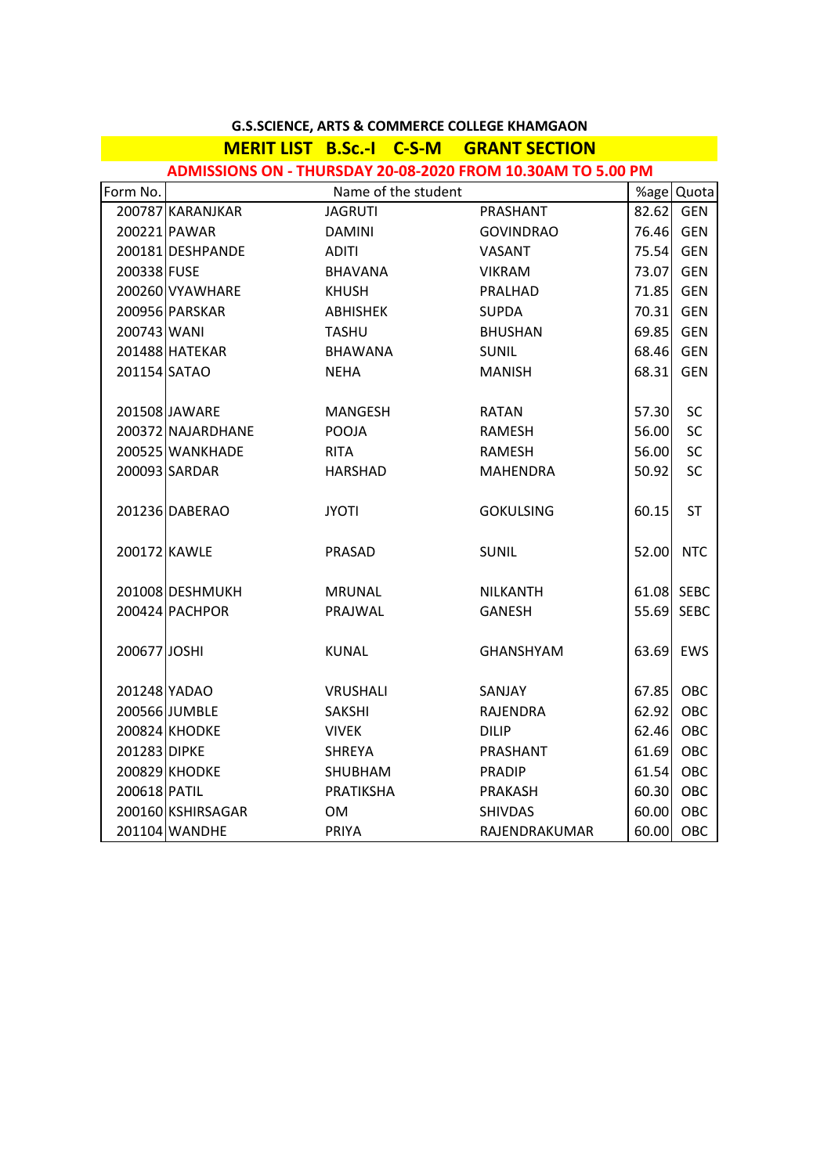|              |                   | <b>MERIT LIST B.Sc.-I C-S-M GRANT SECTION</b> |                                                             |           |             |
|--------------|-------------------|-----------------------------------------------|-------------------------------------------------------------|-----------|-------------|
|              |                   |                                               | ADMISSIONS ON - THURSDAY 20-08-2020 FROM 10.30AM TO 5.00 PM |           |             |
| Form No.     |                   | Name of the student                           |                                                             |           | %age Quota  |
|              | 200787 KARANJKAR  | <b>JAGRUTI</b>                                | PRASHANT                                                    | 82.62 GEN |             |
|              | 200221 PAWAR      | <b>DAMINI</b>                                 | <b>GOVINDRAO</b>                                            | 76.46 GEN |             |
|              | 200181 DESHPANDE  | <b>ADITI</b>                                  | <b>VASANT</b>                                               | 75.54     | GEN         |
| 200338 FUSE  |                   | BHAVANA                                       | <b>VIKRAM</b>                                               | 73.07     | <b>GEN</b>  |
|              | 200260 VYAWHARE   | <b>KHUSH</b>                                  | PRALHAD                                                     | 71.85     | <b>GEN</b>  |
|              | 200956 PARSKAR    | ABHISHEK                                      | <b>SUPDA</b>                                                | 70.31     | <b>GEN</b>  |
| 200743 WANI  |                   | <b>TASHU</b>                                  | <b>BHUSHAN</b>                                              | 69.85     | <b>GEN</b>  |
|              | 201488 HATEKAR    | BHAWANA                                       | <b>SUNIL</b>                                                | 68.46     | <b>GEN</b>  |
| 201154 SATAO |                   | NEHA                                          | <b>MANISH</b>                                               | 68.31     | <b>GEN</b>  |
|              |                   |                                               |                                                             |           |             |
|              | 201508 JAWARE     | MANGESH                                       | <b>RATAN</b>                                                | 57.30     | SC          |
|              | 200372 NAJARDHANE | POOJA                                         | <b>RAMESH</b>                                               | 56.00     | SC          |
|              | 200525 WANKHADE   | <b>RITA</b>                                   | <b>RAMESH</b>                                               | 56.00     | SC          |
|              | 200093 SARDAR     | HARSHAD                                       | <b>MAHENDRA</b>                                             | 50.92     | SC          |
|              |                   |                                               |                                                             |           |             |
|              | 201236 DABERAO    | <b>JYOTI</b>                                  | <b>GOKULSING</b>                                            | 60.15     | <b>ST</b>   |
|              |                   |                                               |                                                             |           |             |
| 200172 KAWLE |                   | PRASAD                                        | SUNIL                                                       | 52.00     | <b>NTC</b>  |
|              | 201008 DESHMUKH   | <b>MRUNAL</b>                                 | <b>NILKANTH</b>                                             |           | 61.08 SEBC  |
|              | 200424 PACHPOR    | PRAJWAL                                       | <b>GANESH</b>                                               | 55.69     | <b>SEBC</b> |
|              |                   |                                               |                                                             |           |             |
| 200677 JOSHI |                   | <b>KUNAL</b>                                  | <b>GHANSHYAM</b>                                            | 63.69     | EWS         |
|              |                   |                                               |                                                             |           |             |
|              | 201248 YADAO      | <b>VRUSHALI</b>                               | SANJAY                                                      | 67.85 OBC |             |
|              | 200566 JUMBLE     | SAKSHI                                        | RAJENDRA                                                    | 62.92     | <b>OBC</b>  |
|              | 200824 KHODKE     | <b>VIVEK</b>                                  | <b>DILIP</b>                                                | 62.46     | OBC         |
| 201283 DIPKE |                   | SHREYA                                        | PRASHANT                                                    | 61.69     | OBC         |
|              | 200829 KHODKE     | SHUBHAM                                       | <b>PRADIP</b>                                               | 61.54     | OBC         |
| 200618 PATIL |                   | PRATIKSHA                                     | PRAKASH                                                     | 60.30     | OBC         |
|              | 200160 KSHIRSAGAR | <b>OM</b>                                     | <b>SHIVDAS</b>                                              | 60.00     | OBC         |
|              | 201104 WANDHE     | <b>PRIYA</b>                                  | RAJENDRAKUMAR                                               | 60.00 OBC |             |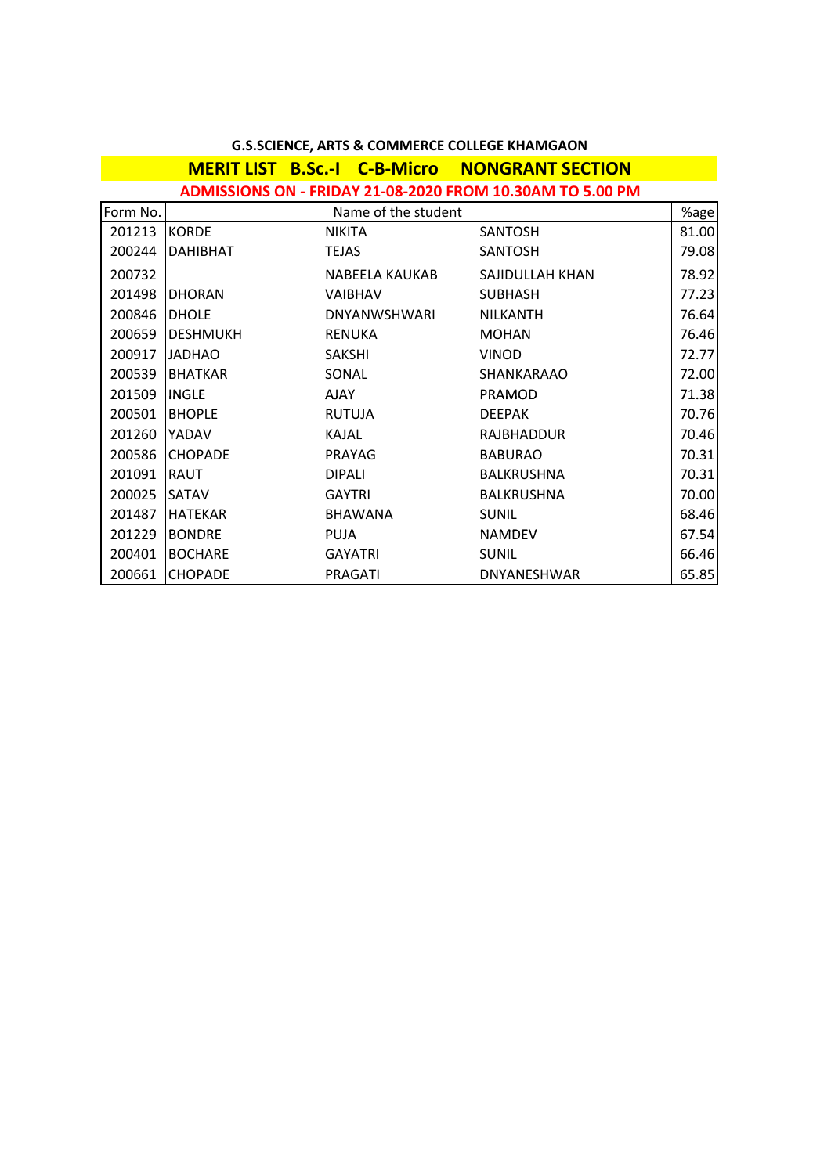|          |                 |                     | ADMISSIONS ON - FRIDAY 21-08-2020 FROM 10.30AM TO 5.00 PM |       |
|----------|-----------------|---------------------|-----------------------------------------------------------|-------|
| Form No. |                 | Name of the student |                                                           | %age  |
| 201213   | <b>KORDE</b>    | NIKITA              | <b>SANTOSH</b>                                            | 81.00 |
| 200244   | <b>DAHIBHAT</b> | <b>TEJAS</b>        | <b>SANTOSH</b>                                            | 79.08 |
| 200732   |                 | NABEELA KAUKAB      | SAJIDULLAH KHAN                                           | 78.92 |
| 201498   | <b>DHORAN</b>   | <b>VAIBHAV</b>      | <b>SUBHASH</b>                                            | 77.23 |
| 200846   | <b>DHOLE</b>    | <b>DNYANWSHWARI</b> | <b>NILKANTH</b>                                           | 76.64 |
| 200659   | <b>DESHMUKH</b> | <b>RENUKA</b>       | <b>MOHAN</b>                                              | 76.46 |
| 200917   | <b>JADHAO</b>   | <b>SAKSHI</b>       | <b>VINOD</b>                                              | 72.77 |
| 200539   | <b>BHATKAR</b>  | SONAL               | SHANKARAAO                                                | 72.00 |
| 201509   | <b>INGLE</b>    | <b>AJAY</b>         | <b>PRAMOD</b>                                             | 71.38 |
| 200501   | <b>BHOPLE</b>   | <b>RUTUJA</b>       | <b>DEEPAK</b>                                             | 70.76 |
| 201260   | YADAV           | <b>KAJAL</b>        | <b>RAJBHADDUR</b>                                         | 70.46 |
| 200586   | <b>CHOPADE</b>  | <b>PRAYAG</b>       | <b>BABURAO</b>                                            | 70.31 |
| 201091   | <b>RAUT</b>     | <b>DIPALI</b>       | <b>BALKRUSHNA</b>                                         | 70.31 |
| 200025   | <b>SATAV</b>    | <b>GAYTRI</b>       | <b>BALKRUSHNA</b>                                         | 70.00 |
| 201487   | <b>HATEKAR</b>  | <b>BHAWANA</b>      | <b>SUNIL</b>                                              | 68.46 |
| 201229   | <b>BONDRE</b>   | <b>PUJA</b>         | <b>NAMDEV</b>                                             | 67.54 |
| 200401   | <b>BOCHARE</b>  | <b>GAYATRI</b>      | <b>SUNIL</b>                                              | 66.46 |
| 200661   | <b>CHOPADE</b>  | <b>PRAGATI</b>      | DNYANESHWAR                                               | 65.85 |

**MERIT LIST B.Sc.-I C-B-Micro NONGRANT SECTION**